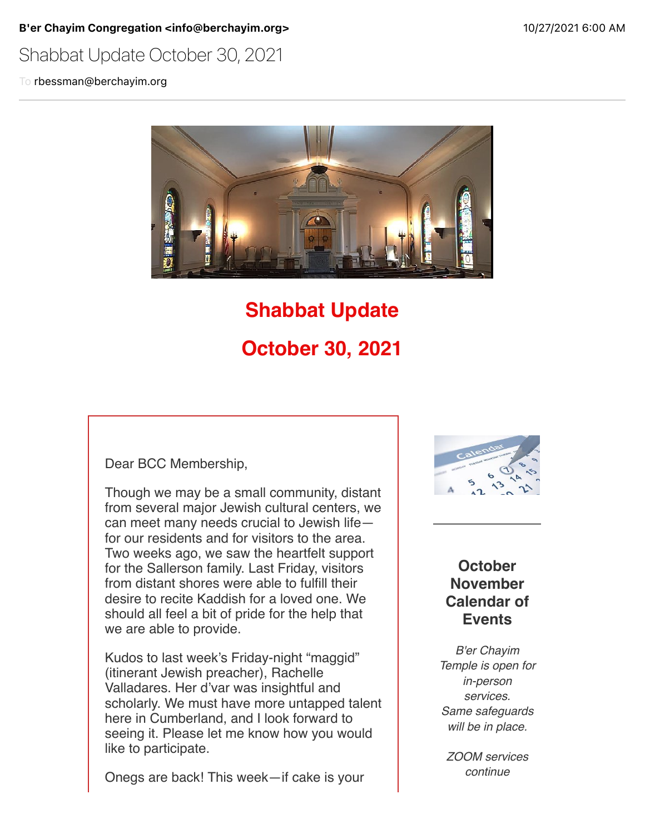B'er Chayim Congregation <info@berchayim.org> 10/27/2021 6:00 AM

## Shabbat Update October 30, 2021

To rbessman@berchayim.org



# **Shabbat Update October 30, 2021**

Dear BCC Membership,

Though we may be a small community, distant from several major Jewish cultural centers, we can meet many needs crucial to Jewish life for our residents and for visitors to the area. Two weeks ago, we saw the heartfelt support for the Sallerson family. Last Friday, visitors from distant shores were able to fulfill their desire to recite Kaddish for a loved one. We should all feel a bit of pride for the help that we are able to provide.

Kudos to last week's Friday-night "maggid" (itinerant Jewish preacher), Rachelle Valladares. Her d'var was insightful and scholarly. We must have more untapped talent here in Cumberland, and I look forward to seeing it. Please let me know how you would like to participate.

Onegs are back! This week—if cake is your



#### **October November Calendar of Events**

*B'er Chayim Temple is open for in-person services. Same safeguards will be in place.*

*ZOOM services continue*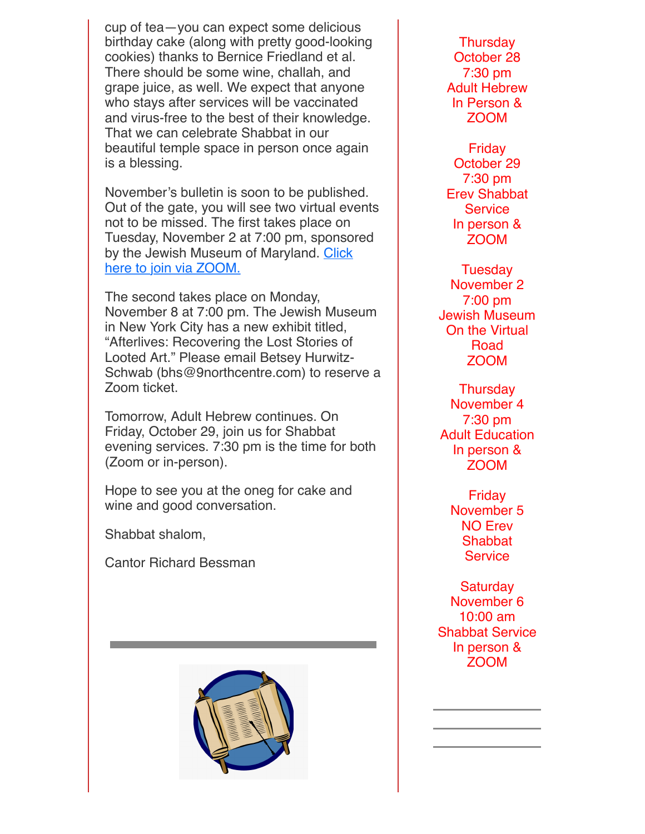cup of tea—you can expect some delicious birthday cake (along with pretty good-looking cookies) thanks to Bernice Friedland et al. There should be some wine, challah, and grape juice, as well. We expect that anyone who stays after services will be vaccinated and virus-free to the best of their knowledge. That we can celebrate Shabbat in our beautiful temple space in person once again is a blessing.

November's bulletin is soon to be published. Out of the gate, you will see two virtual events not to be missed. The first takes place on Tuesday, November 2 at 7:00 pm, sponsored [by the Jewish Museum of Maryland. Click](https://click.icptrack.com/icp/relay.php?r=119985007&msgid=893542&act=4970&c=592337&destination=https%3A%2F%2F68398.blackbaudhosting.com%2F68398%2FJMM-on-the-Virtual-Road-02Nov2021&cf=5618&v=3fc67c0cefe2e9cd8bb632c1358f8a683fa0976cbe1cff9e9d38eabfc57680bb) here to join via ZOOM.

The second takes place on Monday, November 8 at 7:00 pm. The Jewish Museum in New York City has a new exhibit titled, "Afterlives: Recovering the Lost Stories of Looted Art." Please email Betsey Hurwitz-Schwab (bhs@9northcentre.com) to reserve a Zoom ticket.

Tomorrow, Adult Hebrew continues. On Friday, October 29, join us for Shabbat evening services. 7:30 pm is the time for both (Zoom or in-person).

Hope to see you at the oneg for cake and wine and good conversation.

Shabbat shalom,

Cantor Richard Bessman



**Thursday** October 28 7:30 pm Adult Hebrew In Person & ZOOM

Friday October 29 7:30 pm Erev Shabbat **Service** In person & ZOOM

**Tuesday** November 2 7:00 pm Jewish Museum On the Virtual Road ZOOM

**Thursday** November 4 7:30 pm Adult Education In person & ZOOM

Friday November 5 NO Erev **Shabbat Service** 

**Saturday** November 6 10:00 am Shabbat Service In person & ZOOM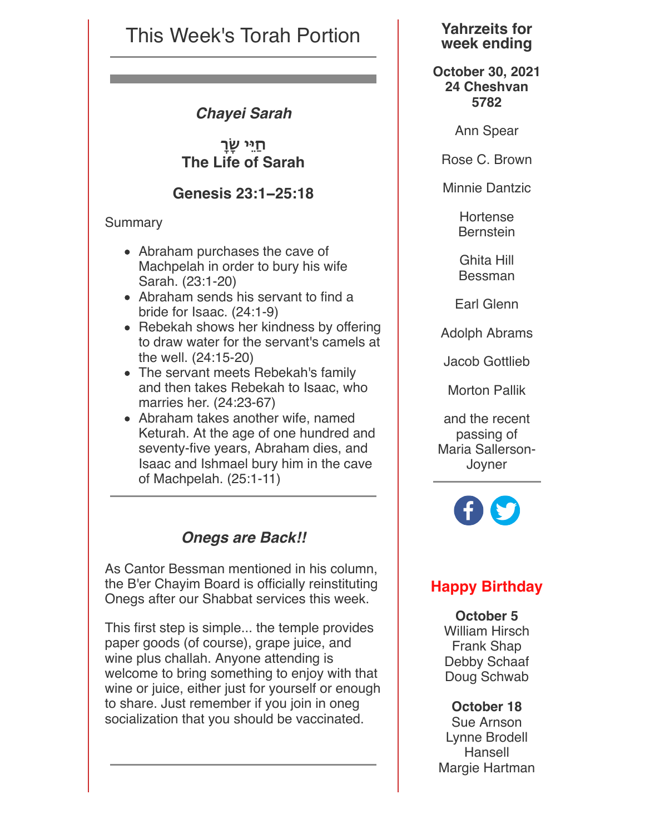## This Week's Torah Portion

#### *Chayei Sarah*

**חַ&ֵי ָ#! The Life of Sarah**

**Genesis 23:1−25:18**

#### Summary

- Abraham purchases the cave of Machpelah in order to bury his wife Sarah. (23:1-20)
- Abraham sends his servant to find a bride for Isaac. (24:1-9)
- Rebekah shows her kindness by offering to draw water for the servant's camels at the well. (24:15-20)
- The servant meets Rebekah's family and then takes Rebekah to Isaac, who marries her. (24:23-67)
- Abraham takes another wife, named Keturah. At the age of one hundred and seventy-five years, Abraham dies, and Isaac and Ishmael bury him in the cave of Machpelah. (25:1-11)

### *Onegs are Back!!*

As Cantor Bessman mentioned in his column, the B'er Chayim Board is officially reinstituting Onegs after our Shabbat services this week.

This first step is simple... the temple provides paper goods (of course), grape juice, and wine plus challah. Anyone attending is welcome to bring something to enjoy with that wine or juice, either just for yourself or enough to share. Just remember if you join in oneg socialization that you should be vaccinated.

#### **Yahrzeits for week ending**

**October 30, 2021 24 Cheshvan 5782**

Ann Spear

Rose C. Brown

Minnie Dantzic

Hortense **Bernstein** 

Ghita Hill Bessman

Earl Glenn

Adolph Abrams

Jacob Gottlieb

Morton Pallik

and the recent passing of Maria Sallerson-Joyner



## **Happy Birthday**

**October 5** William Hirsch Frank Shap Debby Schaaf Doug Schwab

#### **October 18**

Sue Arnson Lynne Brodell Hansell Margie Hartman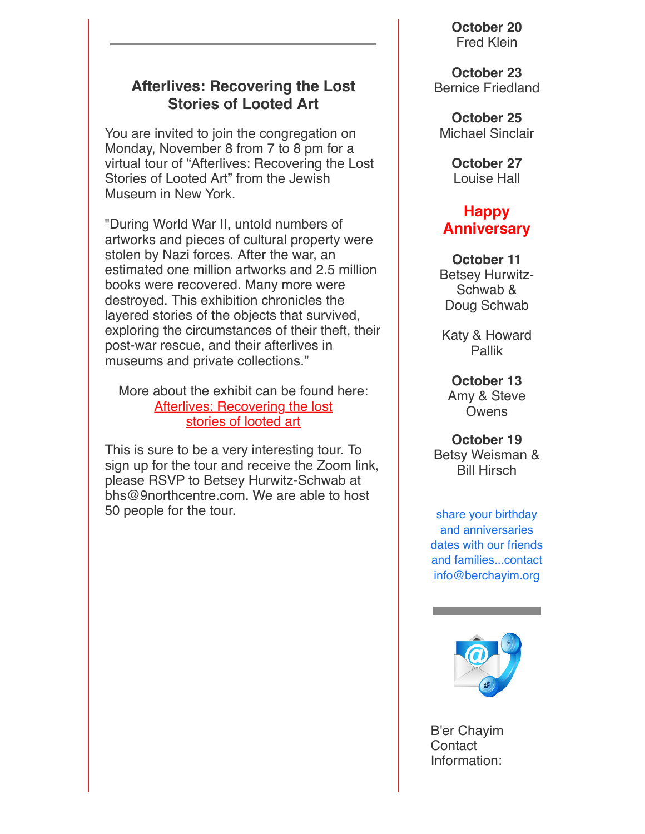#### **Afterlives: Recovering the Lost Stories of Looted Art**

You are invited to join the congregation on Monday, November 8 from 7 to 8 pm for a virtual tour of "Afterlives: Recovering the Lost Stories of Looted Art" from the Jewish Museum in New York.

"During World War II, untold numbers of artworks and pieces of cultural property were stolen by Nazi forces. After the war, an estimated one million artworks and 2.5 million books were recovered. Many more were destroyed. This exhibition chronicles the layered stories of the objects that survived, exploring the circumstances of their theft, their post-war rescue, and their afterlives in museums and private collections."

More about the exhibit can be found here: [Afterlives: Recovering the lost](https://click.icptrack.com/icp/relay.php?r=119985007&msgid=893542&act=4970&c=592337&destination=http%3A%2F%2FAfterlives%3A%2520Recovering%2520the%2520Lost%2520%2520%2520Stories%2520of%2520Looted%2520Art&cf=5618&v=1150002b5a0c3ff935051cc2981008e7be0a669d0f0cadac70ded5a58baa0d24) [stories of looted art](https://click.icptrack.com/icp/relay.php?r=119985007&msgid=893542&act=4970&c=592337&destination=https%3A%2F%2Fthejewishmuseum.org%2Fexhibitions%2Fafterlives-recovering-the-lost-stories-of-looted-art&cf=5618&v=c3fffa28136bdc2fd72dc29efca44cd5eeedbf43e4c67d4e8ecd3c700ec8f371)

This is sure to be a very interesting tour. To sign up for the tour and receive the Zoom link, please RSVP to Betsey Hurwitz-Schwab at bhs@9northcentre.com. We are able to host 50 people for the tour.

**October 20** Fred Klein

**October 23** Bernice Friedland

**October 25** Michael Sinclair

> **October 27** Louise Hall

#### **Happy Anniversary**

**October 11** Betsey Hurwitz-Schwab & Doug Schwab

Katy & Howard Pallik

**October 13** Amy & Steve **Owens** 

**October 19** Betsy Weisman & Bill Hirsch

share your birthday and anniversaries dates with our friends and families...contact info@berchayim.org



B'er Chayim **Contact** Information: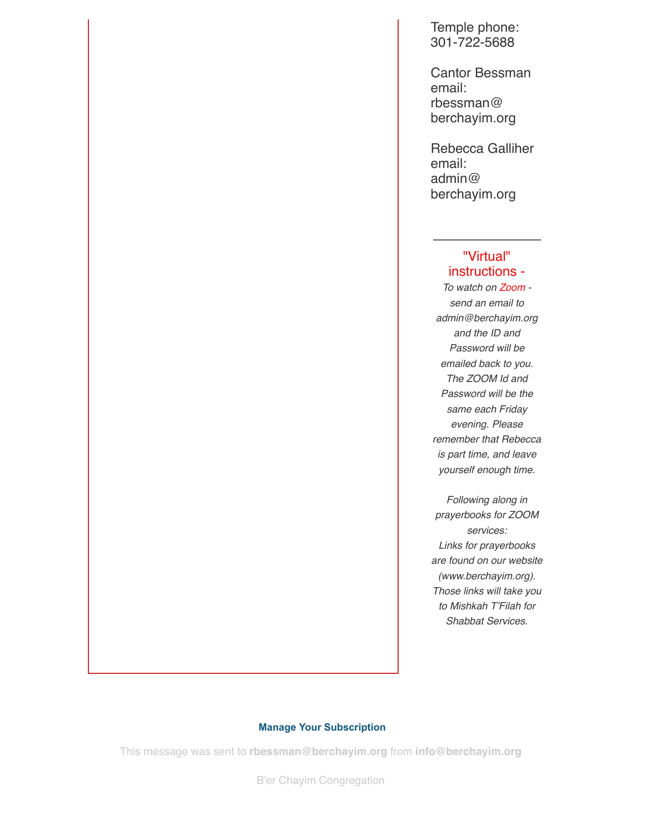Temple phone: 301-722-5688

Cantor Bessman email: rbessman@ berchayim.org

Rebecca Galliher email: admin@ berchayim.org

#### "Virtual" instructions -

*To watch on Zoom send an email to admin@berchayim.org and the ID and Password will be emailed back to you. The ZOOM Id and Password will be the same each Friday evening. Please remember that Rebecca is part time, and leave yourself enough time.*

*Following along in prayerbooks for ZOOM services: Links for prayerbooks are found on our website (www.berchayim.org). Those links will take you to Mishkah T'Filah for Shabbat Services.*

#### **[Manage Your Subscription](https://app.icontact.com/icp/mmail-mprofile.php?r=119985007&l=5618&s=4970&m=893542&c=592337)**

This message was sent to **rbessman@berchayim.org** from **info@berchayim.org**